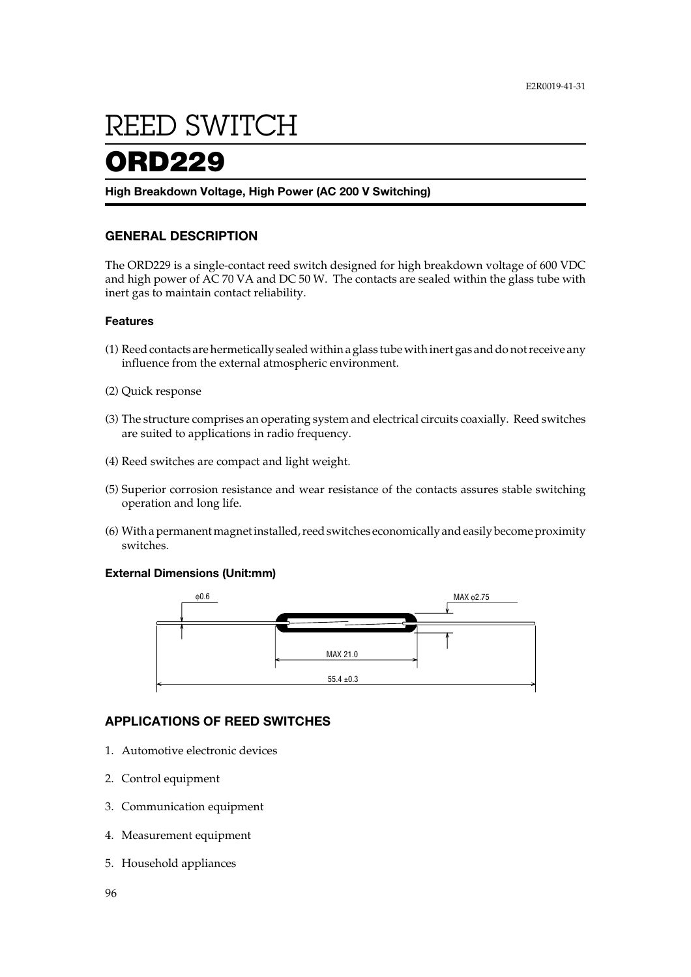# **REED SWITCH**

# ORD229

### **High Breakdown Voltage, High Power (AC 200 V Switching)**

# **GENERAL DESCRIPTION**

The ORD229 is a single-contact reed switch designed for high breakdown voltage of 600 VDC and high power of AC 70 VA and DC 50 W. The contacts are sealed within the glass tube with inert gas to maintain contact reliability.

### **Features**

- (1) Reed contacts are hermetically sealed within a glass tube with inert gas and do not receive any influence from the external atmospheric environment.
- (2) Quick response
- (3) The structure comprises an operating system and electrical circuits coaxially. Reed switches are suited to applications in radio frequency.
- (4) Reed switches are compact and light weight.
- (5) Superior corrosion resistance and wear resistance of the contacts assures stable switching operation and long life.
- (6) With a permanent magnet installed, reed switches economically and easily become proximity switches.

## **External Dimensions (Unit:mm)**



# **APPLICATIONS OF REED SWITCHES**

- 1. Automotive electronic devices
- 2. Control equipment
- 3. Communication equipment
- 4. Measurement equipment
- 5. Household appliances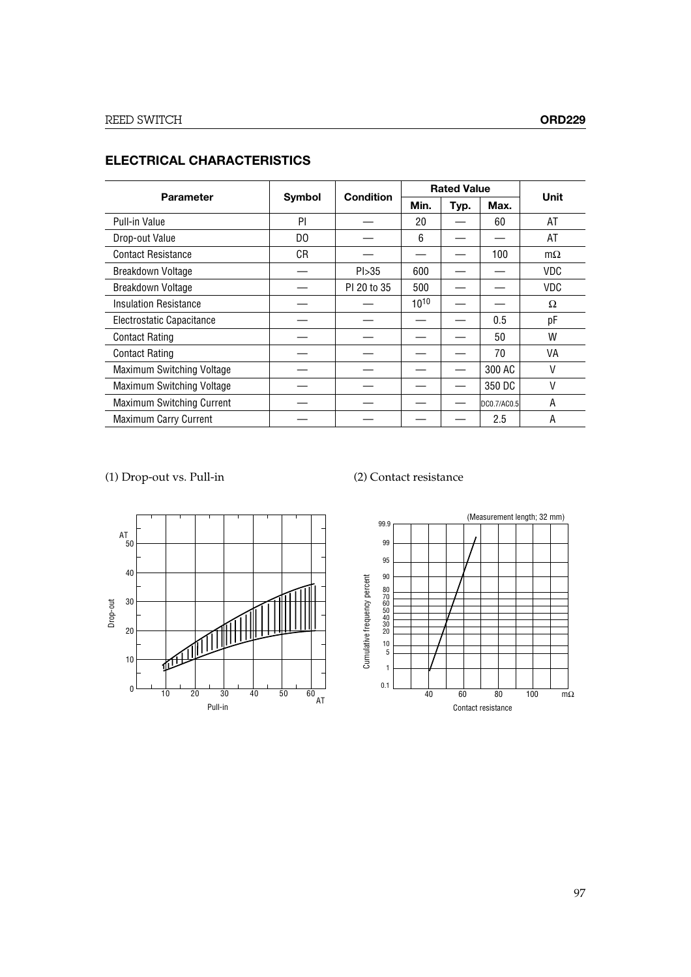| <b>Parameter</b>                 | Symbol | <b>Condition</b> | <b>Rated Value</b> |      |             |           |
|----------------------------------|--------|------------------|--------------------|------|-------------|-----------|
|                                  |        |                  | Min.               | Typ. | Max.        | Unit      |
| Pull-in Value                    | PI     |                  | 20                 |      | 60          | AT        |
| Drop-out Value                   | DO     |                  | 6                  |      |             | AT        |
| <b>Contact Resistance</b>        | СR     |                  |                    |      | 100         | $m\Omega$ |
| Breakdown Voltage                |        | Pl > 35          | 600                |      |             | VDC       |
| Breakdown Voltage                |        | PI 20 to 35      | 500                |      |             | VDC       |
| <b>Insulation Resistance</b>     |        |                  | $10^{10}$          |      |             | Ω         |
| Electrostatic Capacitance        |        |                  |                    |      | 0.5         | pF        |
| <b>Contact Rating</b>            |        |                  |                    |      | 50          | W         |
| <b>Contact Rating</b>            |        |                  |                    |      | 70          | VA        |
| Maximum Switching Voltage        |        |                  |                    |      | 300 AC      | V         |
| Maximum Switching Voltage        |        |                  |                    |      | 350 DC      | V         |
| <b>Maximum Switching Current</b> |        |                  |                    |      | DC0.7/AC0.5 | A         |
| <b>Maximum Carry Current</b>     |        |                  |                    |      | 2.5         | Α         |

# **ELECTRICAL CHARACTERISTICS**

(1) Drop-out vs. Pull-in (2) Contact resistance



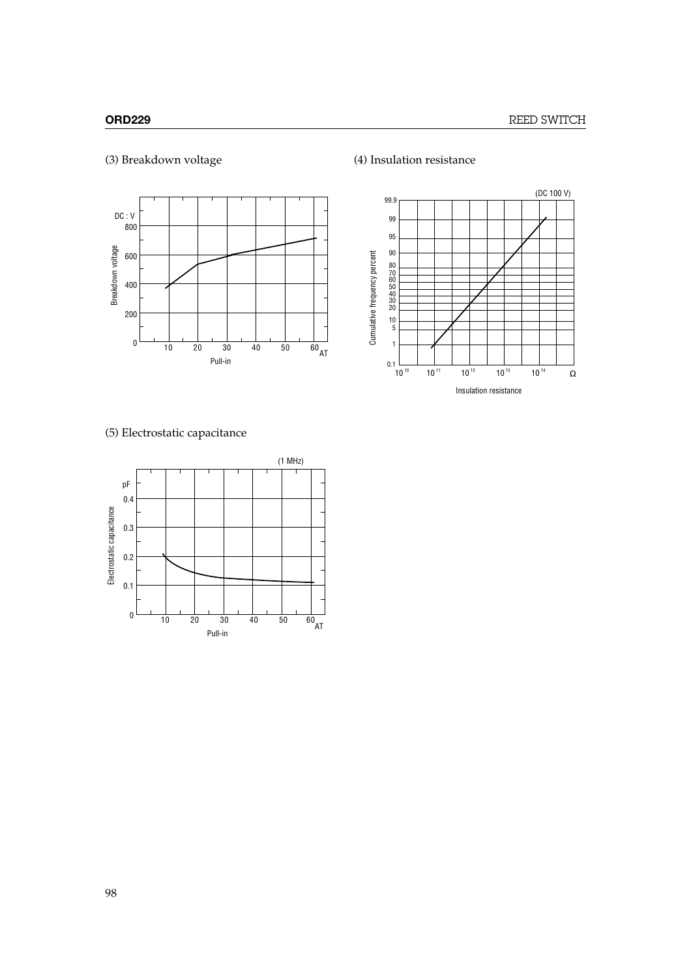

# (3) Breakdown voltage (4) Insulation resistance



# (5) Electrostatic capacitance

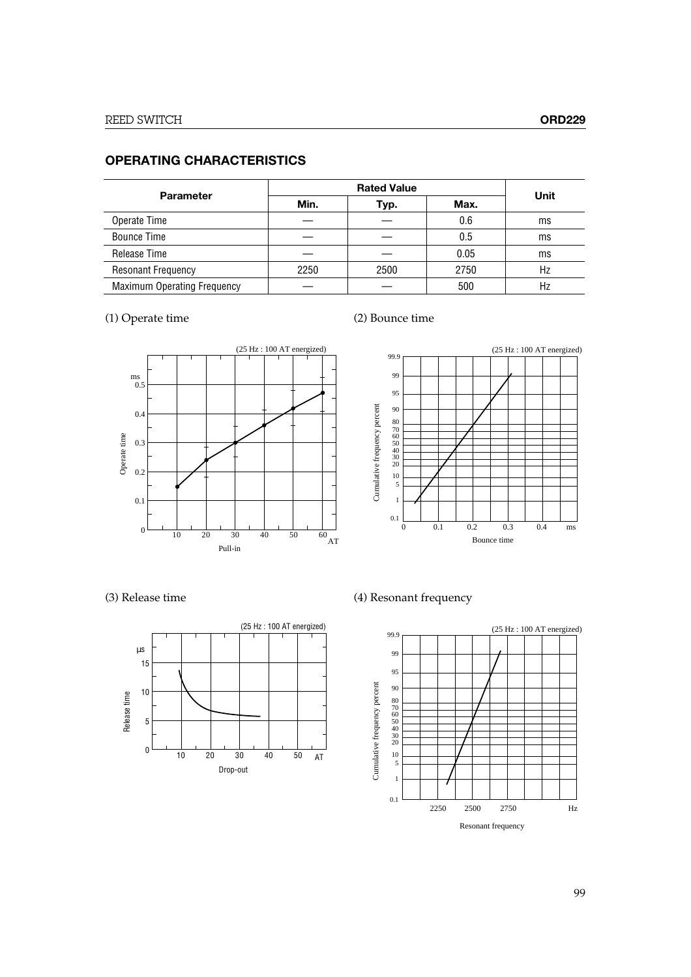# **OPERATING CHARACTERISTICS**

| <b>Parameter</b>                   |      |      |      |      |
|------------------------------------|------|------|------|------|
|                                    | Min. | Typ. | Max. | Unit |
| Operate Time                       |      |      | 0.6  | ms   |
| <b>Bounce Time</b>                 |      |      | 0.5  | ms   |
| Release Time                       |      |      | 0.05 | ms   |
| <b>Resonant Frequency</b>          | 2250 | 2500 | 2750 | Hz   |
| <b>Maximum Operating Frequency</b> |      |      | 500  | Hz   |

# (1) Operate time (2) Bounce time







(3) Release time (4) Resonant frequency

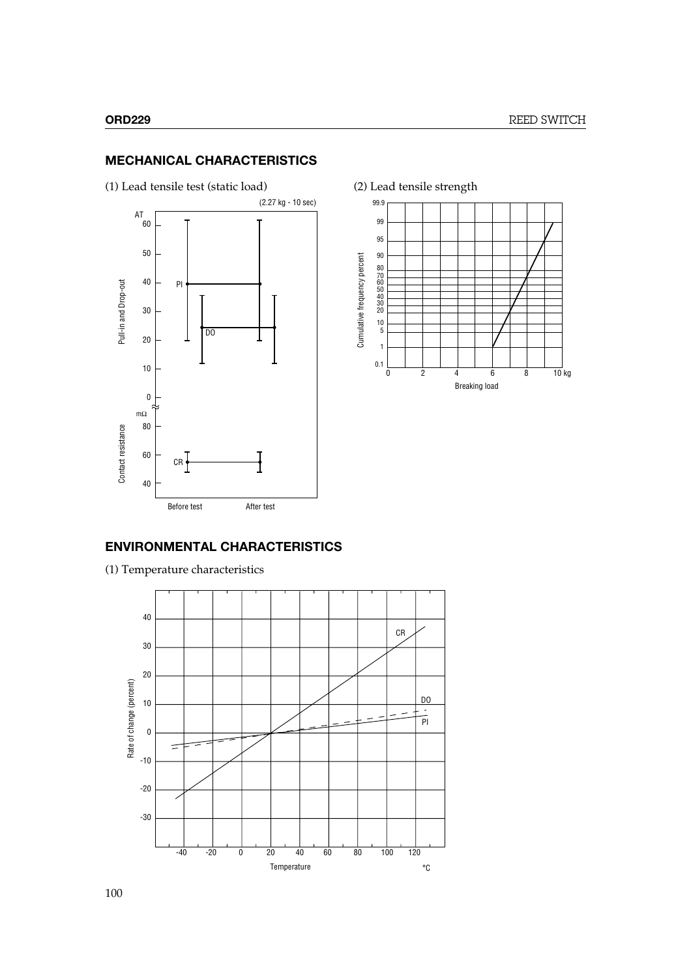# **MECHANICAL CHARACTERISTICS**







# **ENVIRONMENTAL CHARACTERISTICS**

(1) Temperature characteristics

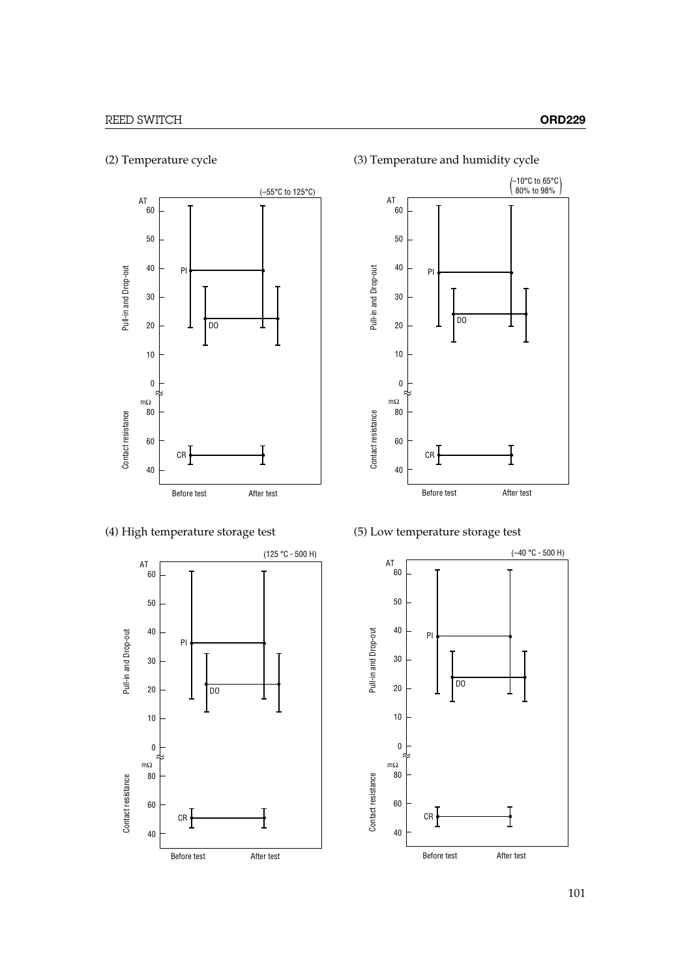





(4) High temperature storage test (5) Low temperature storage test



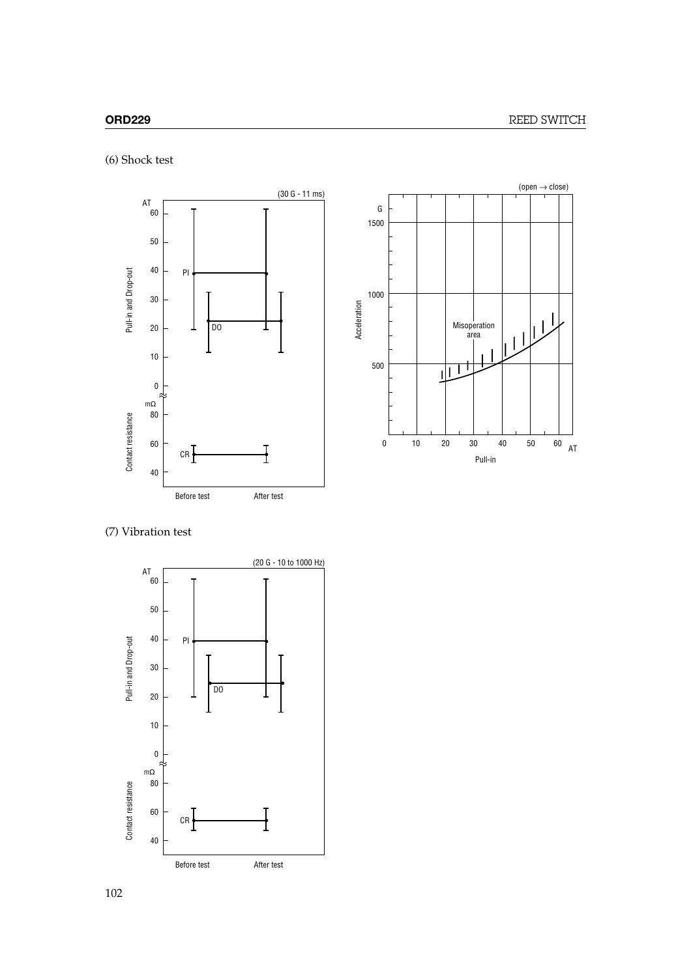(6) Shock test





(7) Vibration test